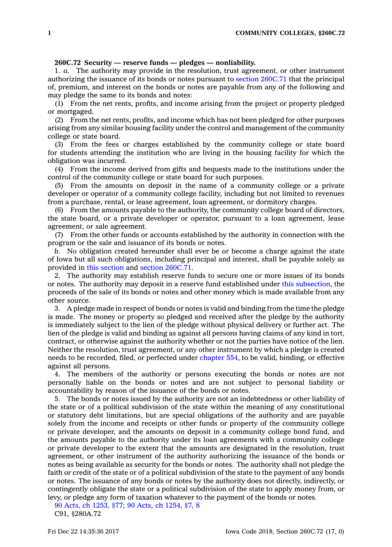## **260C.72 Security — reserve funds — pledges — nonliability.**

1. *a.* The authority may provide in the resolution, trust agreement, or other instrument authorizing the issuance of its bonds or notes pursuant to section [260C.71](https://www.legis.iowa.gov/docs/code/260C.71.pdf) that the principal of, premium, and interest on the bonds or notes are payable from any of the following and may pledge the same to its bonds and notes:

(1) From the net rents, profits, and income arising from the project or property pledged or mortgaged.

(2) From the net rents, profits, and income which has not been pledged for other purposes arising from any similar housing facility under the control and management of the community college or state board.

(3) From the fees or charges established by the community college or state board for students attending the institution who are living in the housing facility for which the obligation was incurred.

(4) From the income derived from gifts and bequests made to the institutions under the control of the community college or state board for such purposes.

(5) From the amounts on deposit in the name of <sup>a</sup> community college or <sup>a</sup> private developer or operator of <sup>a</sup> community college facility, including but not limited to revenues from <sup>a</sup> purchase, rental, or lease agreement, loan agreement, or dormitory charges.

(6) From the amounts payable to the authority, the community college board of directors, the state board, or <sup>a</sup> private developer or operator, pursuant to <sup>a</sup> loan agreement, lease agreement, or sale agreement.

(7) From the other funds or accounts established by the authority in connection with the program or the sale and issuance of its bonds or notes.

*b.* No obligation created hereunder shall ever be or become <sup>a</sup> charge against the state of Iowa but all such obligations, including principal and interest, shall be payable solely as provided in this [section](https://www.legis.iowa.gov/docs/code/260C.72.pdf) and section [260C.71](https://www.legis.iowa.gov/docs/code/260C.71.pdf).

2. The authority may establish reserve funds to secure one or more issues of its bonds or notes. The authority may deposit in <sup>a</sup> reserve fund established under this [subsection](https://www.legis.iowa.gov/docs/code/260C.72.pdf), the proceeds of the sale of its bonds or notes and other money which is made available from any other source.

3. A pledge made in respect of bonds or notes is valid and binding from the time the pledge is made. The money or property so pledged and received after the pledge by the authority is immediately subject to the lien of the pledge without physical delivery or further act. The lien of the pledge is valid and binding as against all persons having claims of any kind in tort, contract, or otherwise against the authority whether or not the parties have notice of the lien. Neither the resolution, trust agreement, or any other instrument by which <sup>a</sup> pledge is created needs to be recorded, filed, or perfected under [chapter](https://www.legis.iowa.gov/docs/code//554.pdf) 554, to be valid, binding, or effective against all persons.

4. The members of the authority or persons executing the bonds or notes are not personally liable on the bonds or notes and are not subject to personal liability or accountability by reason of the issuance of the bonds or notes.

5. The bonds or notes issued by the authority are not an indebtedness or other liability of the state or of <sup>a</sup> political subdivision of the state within the meaning of any constitutional or statutory debt limitations, but are special obligations of the authority and are payable solely from the income and receipts or other funds or property of the community college or private developer, and the amounts on deposit in <sup>a</sup> community college bond fund, and the amounts payable to the authority under its loan agreements with <sup>a</sup> community college or private developer to the extent that the amounts are designated in the resolution, trust agreement, or other instrument of the authority authorizing the issuance of the bonds or notes as being available as security for the bonds or notes. The authority shall not pledge the faith or credit of the state or of <sup>a</sup> political subdivision of the state to the payment of any bonds or notes. The issuance of any bonds or notes by the authority does not directly, indirectly, or contingently obligate the state or <sup>a</sup> political subdivision of the state to apply money from, or levy, or pledge any form of taxation whatever to the payment of the bonds or notes.

90 Acts, ch [1253,](https://www.legis.iowa.gov/docs/acts/90/CH1253.pdf) §77; 90 Acts, ch [1254,](https://www.legis.iowa.gov/docs/acts/90/CH1254.pdf) §7, 8

C91, §280A.72